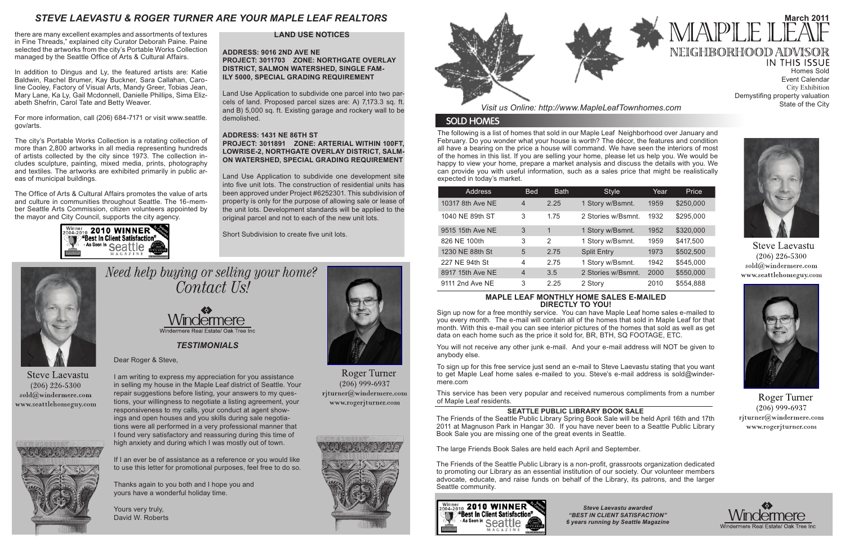The following is a list of homes that sold in our Maple Leaf Neighborhood over January and February. Do you wonder what your house is worth? The décor, the features and condition all have a bearing on the price a house will command. We have seen the interiors of most of the homes in this list. If you are selling your home, please let us help you. We would be happy to view your home, prepare a market analysis and discuss the details with you. We can provide you with useful information, such as a sales price that might be realistically expected in today's market.

*Visit us Online: http://www.MapleLeafTownhomes.com*

# **SOLD HOMES**

# *STEVE LAEVASTU & ROGER TURNER ARE YOUR MAPLE LEAF REALTORS*

# **MAPLE LEAF MONTHLY HOME SALES E-MAILED DIRECTLY TO YOU!**

**IN THIS ISSUE** Homes Sold Event Calendar City Exhibition Demystifing property valuation State of the City



**Steve Laevastu**  $(206)$  226-5300  $\text{cold}(\textit{a})$ windermere.com www.seattlehomeguy.com



**Roger Turner**  $(206)$  999-6937 rjturner@windermere.com www.rogerjturner.com





Sign up now for a free monthly service. You can have Maple Leaf home sales e-mailed to you every month. The e-mail will contain all of the homes that sold in Maple Leaf for that month. With this e-mail you can see interior pictures of the homes that sold as well as get data on each home such as the price it sold for, BR, BTH, SQ FOOTAGE, ETC.

You will not receive any other junk e-mail. And your e-mail address will NOT be given to anybody else.

To sign up for this free service just send an e-mail to Steve Laevastu stating that you want to get Maple Leaf home sales e-mailed to you. Steve's e-mail address is sold@windermere.com

This service has been very popular and received numerous compliments from a number of Maple Leaf residents.

*TESTIMONIALS*

Dear Roger & Steve,

## **ADDRESS: 9016 2ND AVE NE PROJECT: 3011703 ZONE: NORTHGATE OVERLAY DISTRICT, SALMON WATERSHED, SINGLE FAM-ILY 5000, SPECIAL GRADING REQUIREMENT**

I am writing to express my appreciation for you assistance in selling my house in the Maple Leaf district of Seattle. Your repair suggestions before listing, your answers to my questions, your willingness to negotiate a listing agreement, your responsiveness to my calls, your conduct at agent showings and open houses and you skills during sale negotiations were all performed in a very professional manner that I found very satisfactory and reassuring during this time of high anxiety and during which I was mostly out of town.

If I an ever be of assistance as a reference or you would like to use this letter for promotional purposes, feel free to do so.

Thanks again to you both and I hope you and yours have a wonderful holiday time.

Yours very truly, David W. Roberts



**Roger Turner**  $(206)$  999-6937 rjturner@windermere.com www.rogerjturner.com





# **SEATTLE PUBLIC LIBRARY BOOK SALE**

In addition to Dingus and Ly, the featured artists are: Katie Baldwin, Rachel Brumer, Kay Buckner, Sara Callahan, Caroline Cooley, Factory of Visual Arts, Mandy Greer, Tobias Jean, Mary Lane, Ka Ly, Gail Mcdonnell, Danielle Phillips, Sima Elizabeth Shefrin, Carol Tate and Betty Weaver.

> The Friends of the Seattle Public Library Spring Book Sale will be held April 16th and 17th 2011 at Magnuson Park in Hangar 30. If you have never been to a Seattle Public Library Book Sale you are missing one of the great events in Seattle.

The large Friends Book Sales are held each April and September.

The Friends of the Seattle Public Library is a non-profit, grassroots organization dedicated to promoting our Library as an essential institution of our society. Our volunteer members advocate, educate, and raise funds on behalf of the Library, its patrons, and the larger Seattle community.



| <b>Address</b>   | <b>Bed</b>     | <b>Bath</b> | <b>Style</b>       | Year | Price     |
|------------------|----------------|-------------|--------------------|------|-----------|
| 10317 8th Ave NE | $\overline{4}$ | 2.25        | 1 Story w/Bsmnt.   | 1959 | \$250,000 |
| 1040 NE 89th ST  | 3              | 1.75        | 2 Stories w/Bsmnt. | 1932 | \$295,000 |
| 9515 15th Ave NE | 3              | 1           | 1 Story w/Bsmnt.   | 1952 | \$320,000 |
| 826 NE 100th     | 3              | 2           | 1 Story w/Bsmnt.   | 1959 | \$417,500 |
| 1230 NE 88th St  | 5              | 2.75        | <b>Split Entry</b> | 1973 | \$502,500 |
| 227 NE 94th St   | 4              | 2.75        | 1 Story w/Bsmnt.   | 1942 | \$545,000 |
| 8917 15th Ave NE | $\overline{4}$ | 3.5         | 2 Stories w/Bsmnt. | 2000 | \$550,000 |
| 9111 2nd Ave NE  | 3              | 2.25        | 2 Story            | 2010 | \$554,888 |

*Steve Laevastu awarded "BEST IN CLIENT SATISFACTION" 6 years running by Seattle Magazine*



# **March 2011** MAPLE NEIGHBORHOOD ADVISOR

# **LAND USE NOTICES**

Land Use Application to subdivide one parcel into two parcels of land. Proposed parcel sizes are: A) 7,173.3 sq. ft. and B) 5,000 sq. ft. Existing garage and rockery wall to be demolished.

# **ADDRESS: 1431 NE 86TH ST PROJECT: 3011891 ZONE: ARTERIAL WITHIN 100FT, LOWRISE-2, NORTHGATE OVERLAY DISTRICT, SALM-ON WATERSHED, SPECIAL GRADING REQUIREMENT**

Land Use Application to subdivide one development site into five unit lots. The construction of residential units has been approved under Project #6252301. This subdivision of property is only for the purpose of allowing sale or lease of the unit lots. Development standards will be applied to the original parcel and not to each of the new unit lots.

Short Subdivision to create five unit lots.



**Steve Laevastu**  $(206)$  226-5300 sold@windermere.com www.seattlehomeguy.com



Need help buying or selling your home? Contact Us!



there are many excellent examples and assortments of textures in Fine Threads," explained city Curator Deborah Paine. Paine selected the artworks from the city's Portable Works Collection managed by the Seattle Office of Arts & Cultural Affairs.

For more information, call (206) 684-7171 or visit www.seattle. gov/arts.

The city's Portable Works Collection is a rotating collection of more than 2,800 artworks in all media representing hundreds of artists collected by the city since 1973. The collection includes sculpture, painting, mixed media, prints, photography and textiles. The artworks are exhibited primarily in public areas of municipal buildings.

The Office of Arts & Cultural Affairs promotes the value of arts and culture in communities throughout Seattle. The 16-member Seattle Arts Commission, citizen volunteers appointed by the mayor and City Council, supports the city agency.